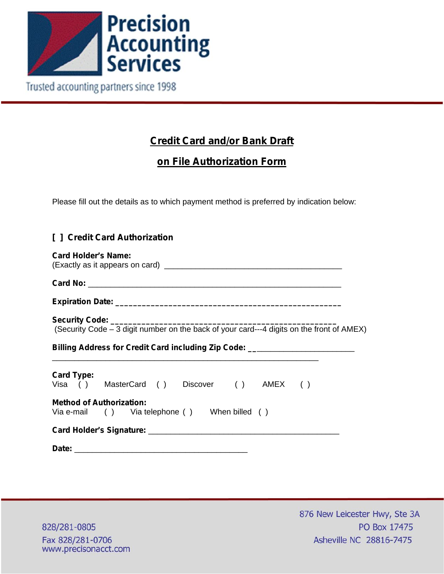

Trusted accounting partners since 1998

## **Credit Card and/or Bank Draft**

## **on File Authorization Form**

Please fill out the details as to which payment method is preferred by indication below:

## **[ ] Credit Card Authorization**

| <b>Card Holder's Name:</b>                                                       |
|----------------------------------------------------------------------------------|
|                                                                                  |
|                                                                                  |
|                                                                                  |
| Billing Address for Credit Card including Zip Code: ____________________________ |
|                                                                                  |
| <b>Card Type:</b><br>Visa () MasterCard () Discover () AMEX ()                   |
| <b>Method of Authorization:</b><br>Via e-mail () Via telephone () When billed () |
|                                                                                  |
|                                                                                  |